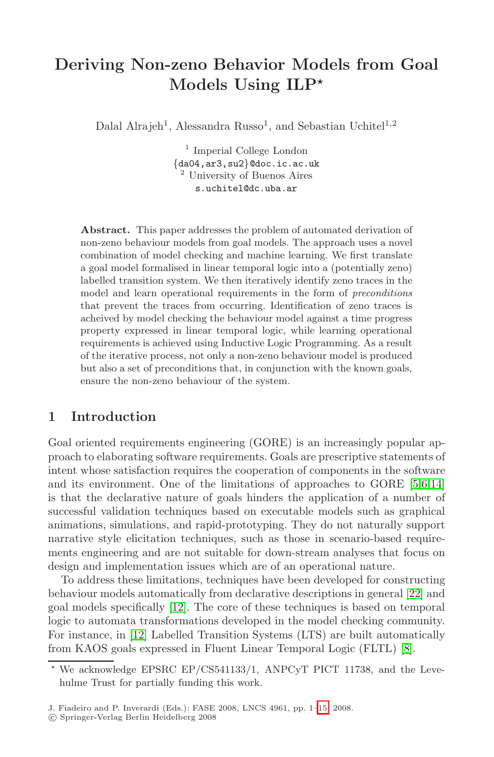# **Deriving Non-zeno Behavior Models from Goal Models Using ILP***-*

Dalal Alrajeh<sup>1</sup>, Alessandra Russo<sup>1</sup>, and Sebastian Uchitel<sup>1,2</sup>

<sup>1</sup> Imperial College London {da04,ar3,su2}@doc.ic.ac.uk <sup>2</sup> University of Buenos Aires s.uchitel@dc.uba.ar

**Abstract.** This paper addresses the problem of automated derivation of non-zeno behaviour models from goal models. The approach uses a novel combination of model checking and machine learning. We first translate a goal model formalised in linear temporal logic into a (potentially zeno) labelled transition system. We then iteratively identify zeno traces in the model and learn operational requirements in the form of preconditions that prevent the traces from occurring. Identification of zeno traces is acheived by model checking the behaviour model against a time progress property expressed in linear temporal logic, while learning operational requirements is achieved using Inductive Logic Programming. As a result of the iterative process, not only a non-zeno behaviour model is produced but also a set of preconditions that, in conjunction [wi](#page-14-0)[th](#page-14-1) [the](#page-14-2) known goals, ensure the non-zeno behaviour of the system.

# **1 Introduction**

Goal oriented requirements engineering (GORE) is an increasingly popular approach to elaborating software requirements. Goals are prescriptive statements of intent whose satisfaction requires the cooperation of components in the software and its environment. One of the limitations of app[roa](#page-14-3)ches to GORE [5,6,14] is th[at t](#page-14-4)he declarative nature of goals hinders the application of a number of successful validation techniques based on executable models such as graphical [a](#page-14-4)nimations, simulations, and rapid-prototyping. They do not naturally support narrative style elicitation techniques, such as thos[e i](#page-14-5)n scenario-based requirements engineering and are not suitable for down-stream analyses that focus on design and implementation issues which are of an operational nature.

To address these limitations, techniques have been developed for constructing behaviour models automatically from declarative descriptions in general [22] and goal models specifically [12]. The [core](#page-14-6) of these techniques is based on temporal logic to automata transformations developed in the model checking community. For instance, in [12] Labelled Transition Systems (LTS) are built automatically from KAOS goals expressed in Fluent Linear Temporal Logic (FLTL) [8].

 $\star$  We acknowledge EPSRC EP/CS541133/1, ANPCyT PICT 11738, and the Levehulme Trust for partially funding this work.

J. Fiadeiro and P. Inverardi (Eds.): FASE 2008, LNCS 4961, pp. 1–15, 2008.

<sup>-</sup>c Springer-Verlag Berlin Heidelberg 2008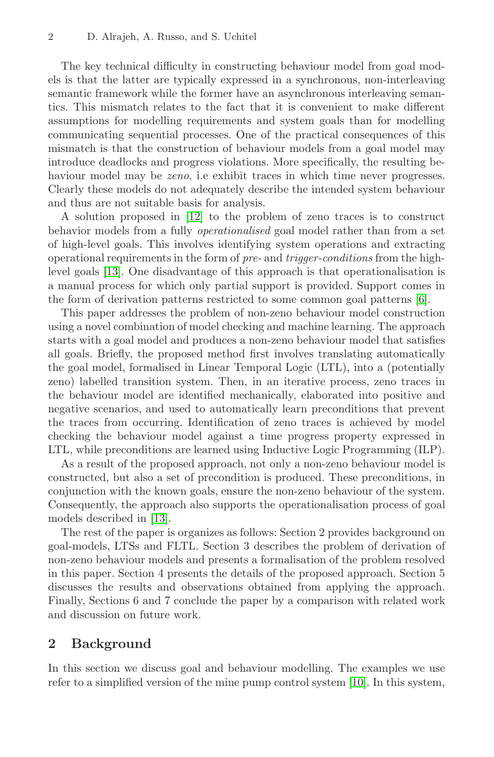The key technical difficulty in constructing behaviour model from goal models is that the latter are typically expressed in a synchronous, non-interleaving semantic framework while the former have an asynchronous interleaving semantics. Thi[s m](#page-14-4)ismatch relates to the fact that it is convenient to make different assumptions for modelling requirements and system goals than for modelling communicating sequential processes. One of the practical consequences of this mismatch is that the construction of behaviour models from a goal model may introduce deadlocks and progress violations. More specifically, the resulting behaviour model may be zeno, i.e exhibit traces in which time never progresses. Clearly these models do not adequately describe the in[ten](#page-14-1)ded system behaviour and thus are not suitable basis for analysis.

A solution proposed in [12] to the problem of zeno traces is to construct behavior models from a fully operationalised goal model rather than from a set of high-level goals. This involves identifying system operations and extracting operational requirements in the form of pre- and trigger-conditions from the highlevel goals [13]. One disadvantage of this approach is that operationalisation is a manual process for which only partial support is provided. Support comes in the form of derivation patterns restricted to some common goal patterns [6].

This paper addresses the problem of non-zeno behaviour model construction using a novel combination of model checking and machine learning. The approach starts with a goal model and produces a non-zeno behaviour model that satisfies all goals. Briefly, the proposed method first involves translating automatically the goal model, formalised in Linear Temporal Logic (LTL), into a (potentially zeno) labelled transition system. Then, in an iterative process, zeno traces in the behaviour model are identified mechanically, elaborated into positive and n[egat](#page-14-7)ive scenarios, and used to automatically learn preconditions that prevent the traces from occurring. Identification of zeno traces is achieved by model checking the behaviour model against a time progress property expressed in LTL, while preconditions are learned using Inductive Logic Programming (ILP).

As a result of the proposed approach, not only a non-zeno behaviour model is constructed, but also a set of precondition is produced. These preconditions, in conjunction with the known goals, ensure the non-zeno behaviour of the system. Consequently, the approach also supports the operationalisation process of goal models described in [13].

The rest of the paper is organizes as follows: Section 2 provides background on goal-models, LTSs and FLTL. Section 3 describes the problem of derivation of non-zeno behaviour models and presents a formalisation of the problem resolved in this paper. Section 4 presents the detai[ls o](#page-14-8)f the proposed approach. Section 5 discusses the results and observations obtained from applying the approach. Finally, Sections 6 and 7 conclude the paper by a comparison with related work and discussion on future work.

# **2 Background**

In this section we discuss goal and behaviour modelling. The examples we use refer to a simplified version of the mine pump control system [10]. In this system,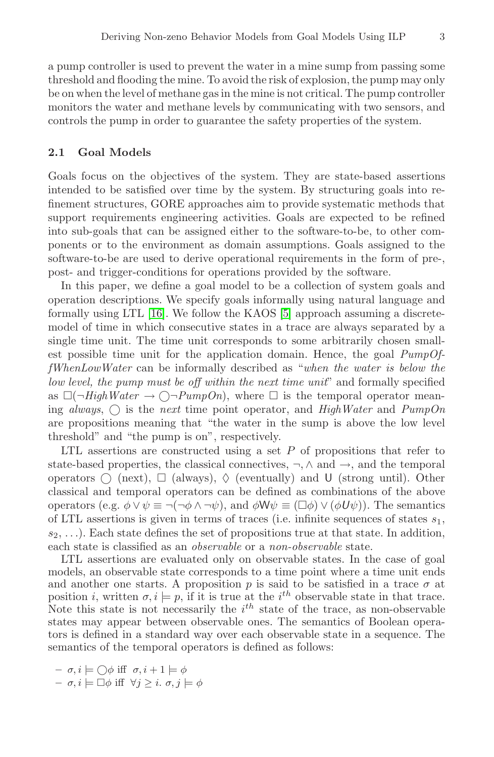<span id="page-2-0"></span>a pump controller is used to prevent the water in a mine sump from passing some threshold and flooding the mine. To avoid the risk of explosion, the pump may only be on when the level of methane gas in the mine is not critical. The pump controller monitors the water and methane levels by communicating with two sensors, and controls the pump in order to guarantee the safety properties of the system.

## **2.1 Goal Models**

Goals focus on the objectives of the system. They are state-based assertions intended to be satisfied over time by the system. By structuring goals into refi[nem](#page-14-9)ent structures, GORE [ap](#page-14-0)proaches aim to provide systematic methods that support requirements engineering activities. Goals are expected to be refined into sub-goals that can be assigned either to the software-to-be, to other components or to the environment as domain assumptions. Goals assigned to the software-to-be are used to derive operational requirements in the form of pre-, post- and trigger-conditions for operations provided by the software.

In this paper, we define a goal model to be a collection of system goals and operation descriptions. We specify goals informally using natural language and formally using LTL [16]. We follow the KAOS [5] approach assuming a discretemodel of time in which consecutive states in a trace are always separated by a single time unit. The time unit corresponds to some arbitrarily chosen smallest possible time unit for the application domain. Hence, the goal  $Pumpof$ fWhenLowWater can be informally described as "when the water is below the low level, the pump must be off within the next time unit" and formally specified as  $\Box(\neg High Water \rightarrow \bigcirc \neg PumpOn)$ , where  $\Box$  is the temporal operator meaning always,  $\bigcap$  is the next time point operator, and HighWater and PumpOn are propositions meaning that "the water in the sump is above the low level threshold" and "the pump is on", respectively.

LTL assertions are constructed using a set  $P$  of propositions that refer to state-based properties, the classical connectives,  $\neg, \wedge$  and  $\rightarrow$ , and the temporal operators  $\bigcirc$  (next),  $\Box$  (always),  $\Diamond$  (eventually) and U (strong until). Other classical and temporal operators can be defined as combinations of the above operators (e.g.  $\phi \vee \psi \equiv \neg(\neg \phi \wedge \neg \psi)$ , and  $\phi \mathsf{W} \psi \equiv (\Box \phi) \vee (\phi \mathsf{U} \psi)$ ). The semantics of LTL assertions is given in terms of traces (i.e. infinite sequences of states  $s_1$ ,  $s_2, \ldots$ ). Each state defines the set of propositions true at that state. In addition, each state is classified as an observable or a non-observable state.

LTL assertions are evaluated only on observable states. In the case of goal models, an observable state corresponds to a time point where a time unit ends and another one starts. A proposition p is said to be satisfied in a trace  $\sigma$  at position *i*, written  $\sigma, i \models p$ , if it is true at the *i*<sup>th</sup> observable state in that trace. Note this state is not necessarily the  $i^{th}$  state of the trace, as non-observable states may appear between observable ones. The semantics of Boolean operators is defined in a standard way over each observable state in a sequence. The semantics of the temporal operators is defined as follows:

 $- \sigma, i \models \Box \phi \text{ iff } \forall j \geq i. \sigma, j \models \phi$ 

 $- \sigma, i \models \bigcirc \phi$  iff  $\sigma, i + 1 \models \phi$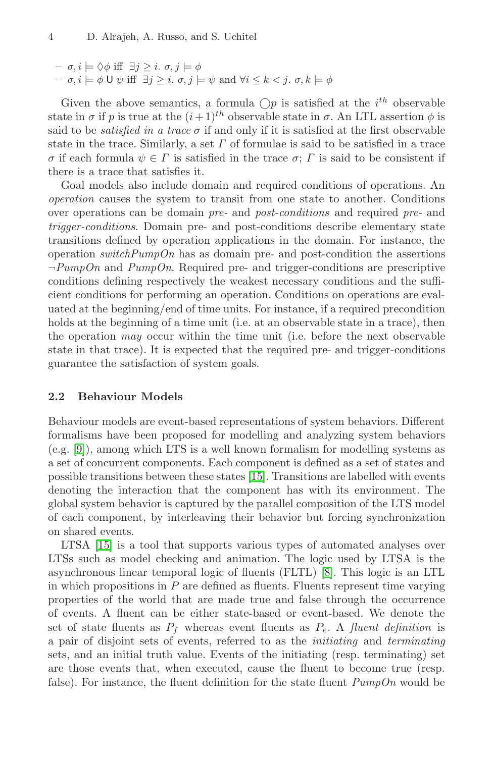**–** σ, i |= ♦φ iff ∃j ≥ i. σ, j |= φ **–** σ, i |= φ U ψ iff ∃j ≥ i. σ, j |= ψ and ∀i ≤ k<j. σ, k |= φ

Given the above semantics, a formula  $\bigcirc p$  is satisfied at the i<sup>th</sup> observable state in  $\sigma$  if p is true at the  $(i+1)^{th}$  observable state in  $\sigma$ . An LTL assertion  $\phi$  is said to be *satisfied in a trace*  $\sigma$  if and only if it is satisfied at the first observable state in the trace. Similarly, a set  $\Gamma$  of formulae is said to be satisfied in a trace σ if each formula ψ ∈ Γ is satisfied in the trace σ; Γ is said to be consistent if there is a trace that satisfies it.

Goal models also include domain and required conditions of operations. An operation causes the system to transit from one state to another. Conditions over operations can be domain pre- and post-conditions and required pre- and trigger-conditions. Domain pre- and post-conditions describe elementary state transitions defined by operation applications in the domain. For instance, the operation switch  $PumpOn$  has as domain pre- and post-condition the assertions  $\neg PumpOn$  and  $PumpOn$ . Required pre- and trigger-conditions are prescriptive conditions defining respectively the weakest necessary conditions and the sufficient conditions for performing an operation. Conditions on operations are evaluated at the beginning/end of time units. For instance, if a required precondition holds at the beginning of a time unit (i.e. at an observable state in a trace), then the operation may occur within the time unit (i.e. before the next observable state in that trace). It is expected that the required pre- and trigger-conditions guarantee the satisfa[ctio](#page-14-10)n of system goals.

## **2.2 Behaviour Models**

Behaviour models are event-based representations of system behaviors. Different formalisms have been proposed for modelling and analyzing system behaviors (e.g. [9]), among which LTS is a well known formalism for modelling systems as a set of concurrent components. Eac[h c](#page-14-5)omponent is defined as a set of states and possible transitions between these states [15]. Transitions are labelled with events denoting the interaction that the component has with its environment. The global system behavior is captured by the parallel composition of the LTS model of each component, by interleaving their behavior but forcing synchronization on shared events.

LTSA [15] is a tool that supports various types of automated analyses over LTSs such as model checking and animation. The logic used by LTSA is the asynchronous linear temporal logic of fluents (FLTL) [8]. This logic is an LTL in which propositions in  $P$  are defined as fluents. Fluents represent time varying properties of the world that are made true and false through the occurrence of events. A fluent can be either state-based or event-based. We denote the set of state fluents as  $P_f$  whereas event fluents as  $P_e$ . A fluent definition is a pair of disjoint sets of events, referred to as the initiating and terminating sets, and an initial truth value. Events of the initiating (resp. terminating) set are those events that, when executed, cause the fluent to become true (resp. false). For instance, the fluent definition for the state fluent  $PumpOn$  would be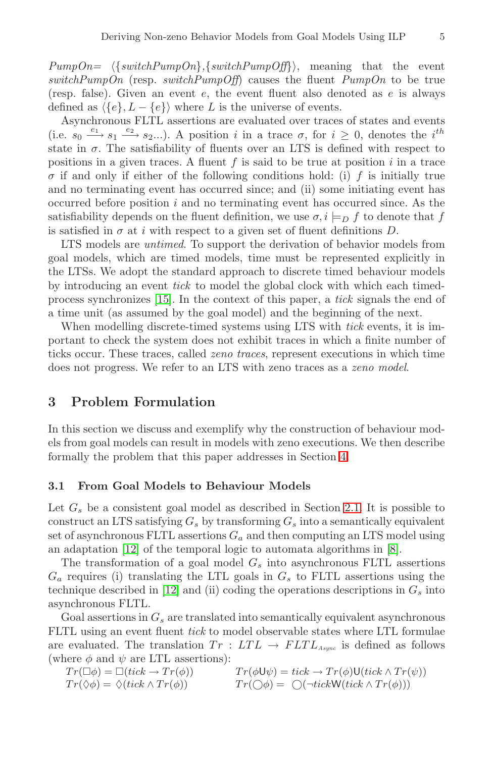$PumpOn= \langle \{switchPumpOn\}, \{switchPumpOff\} \rangle$ , meaning that the event switchPumpOn (resp. switchPumpOff) causes the fluent PumpOn to be true (resp. false). Given an event  $e$ , the event fluent also denoted as  $e$  is always defined as  $\langle {e}, L - {e} \rangle$  where L is the universe of events.

Asynchronous FLTL assertions are evaluated over traces of states and events (i.e.  $s_0 \xrightarrow{e_1} s_1 \xrightarrow{e_2} s_2...$ ). A position *i* in a trace  $\sigma$ , for  $i \geq 0$ , denotes the *i*<sup>th</sup> state in  $\sigma$ . The satisfiability of fluents over an LTS is defined with respect to positions in a given traces. A fluent  $f$  is said to be true at position  $i$  in a trace  $\sigma$  if and only if either of the following conditions hold: (i) f is initially true an[d n](#page-14-10)o terminating event has occurred since; and (ii) some initiating event has occurred before position  $i$  and no terminating event has occurred since. As the satisfiability depends on the fluent definition, we use  $\sigma, i \models_D f$  to denote that f is satisfied in  $\sigma$  at i with respect to a given set of fluent definitions D.

LTS models are untimed. To support the derivation of behavior models from goal models, which are timed models, time must be represented explicitly in the LTSs. We adopt the standard approach to discrete timed behaviour models by introducing an event tick to model the global clock with which each timedprocess synchronizes [15]. In the context of this paper, a tick signals the end of a time unit (as assumed by the goal model) and the beginning of the next.

When modelling discrete-timed systems using LTS with tick events, it is important to check the system does not exhibit traces in which a finite number of ticks occur. These traces, called zeno t[rac](#page-6-0)es, represent executions in which time does not progress. We refer to an LTS with zeno traces as a zeno model.

# **3 Problem Formulation**

In this section we discuss and exemplify why the construction of behaviour models from goal models can result in models with zen[o](#page-14-5) executions. We then describe formally the problem that this paper addresses in Section 4.

## **3.1 [F](#page-14-4)rom Goal Models to Behaviour Models**

Let  $G_s$  be a consistent goal model as described in Section 2.1. It is possible to construct an LTS satisfying  $G_s$  by transforming  $G_s$  into a semantically equivalent set of asynchronous FLTL assertions  $G_a$  and then computing an LTS model using an adaptation [12] of the temporal logic to automata algorithms in [8].

The transformation of a goal model  $G_s$  into asynchronous FLTL assertions  $G_a$  requires (i) translating the LTL goals in  $G_s$  to FLTL assertions using the technique described in [12] and (ii) coding the operations descriptions in  $G_s$  into asynchronous FLTL.

Goal assertions in  $G_s$  are translated into semantically equivalent asynchronous FLTL using an event fluent tick to model observable states where LTL formulae are evaluated. The translation  $Tr : LTL \rightarrow FLTL_{Async}$  is defined as follows (where  $\phi$  and  $\psi$  are LTL assertions):

| $Tr(\Box \phi) = \Box (tick \rightarrow Tr(\phi))$   | $Tr(\phi \cup \psi) = tick \rightarrow Tr(\phi) \cup (tick \wedge Tr(\psi))$ |
|------------------------------------------------------|------------------------------------------------------------------------------|
| $Tr(\Diamond \phi) = \Diamond (tick \land Tr(\phi))$ | $Tr(\bigcirc \phi) = \bigcirc (\neg tickW(tick \wedge Tr(\phi)))$            |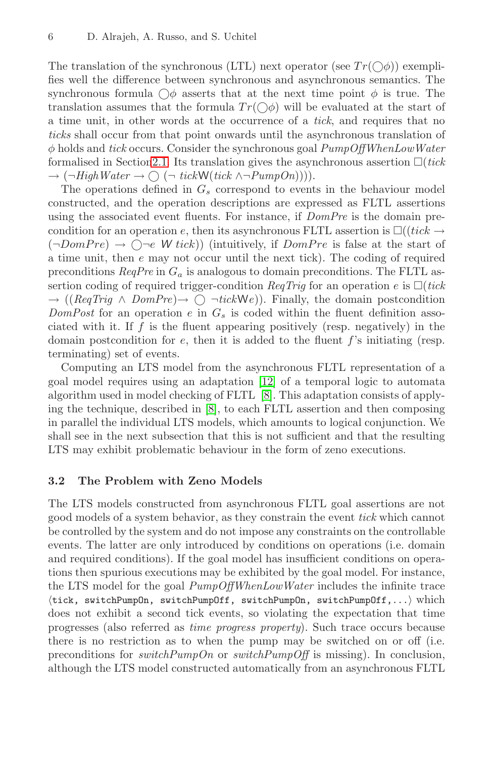T[he](#page-2-0) [t](#page-2-0)ranslation of the synchronous (LTL) next operator (see  $Tr(\bigcirc \phi)$ ) exemplifies well the difference between synchronous and asynchronous semantics. The synchronous formula  $\bigcirc \phi$  asserts that at the next time point  $\phi$  is true. The translation assumes that the formula  $Tr(\bigcirc \phi)$  will be evaluated at the start of a time unit, in other words at the occurrence of a tick, and requires that no ticks shall occur from that point onwards until the asynchronous translation of  $\phi$  holds and tick occurs. Consider the synchronous goal  $PumpOffWhen Low Water$ formalised in Section 2.1. Its translation gives the asynchronous assertion  $\Box (tick)$  $\rightarrow (\neg High Water \rightarrow \bigcirc (\neg tickW(tick \land \neg PumpOn)))$ .

The operations defined in  $G_s$  correspond to events in the behaviour model constructed, and the operation descriptions are expressed as FLTL assertions using the associated event fluents. For instance, if  $DomPre$  is the domain precondition for an operation e, then its asynchronous FLTL assertion is  $\square((tick \rightarrow$  $(\neg DomPre) \rightarrow \bigcirc \neg e$  W tick)) (intuitively, if DomPre is false at the start of a time unit, then e may not occur until the next tick). The coding of required preconditions  $ReqPre$  in  $G_a$  $G_a$  is analogous to domain preconditions. The FLTL assertion coding of requir[ed](#page-14-5) trigger-condition  $\text{Re} q \text{Tr} q$  for an operation e is  $\Box$ (*tick*  $\rightarrow ((\text{RegTrig} \land \text{DomPre}) \rightarrow \bigcirc \neg \text{tickWe})$ . Finally, the domain postcondition DomPost for an operation  $e$  in  $G_s$  is coded within the fluent definition associated with it. If  $f$  is the fluent appearing positively (resp. negatively) in the domain postcondition for  $e$ , then it is added to the fluent  $f$ 's initiating (resp. terminating) set of events.

Computing an LTS model from the asynchronous FLTL representation of a goal model requires using an adaptation [12] of a temporal logic to automata algorithm used in model checking of FLTL [8]. This adaptation consists of applying the technique, described in [8], to each FLTL assertion and then composing in parallel the individual LTS models, which amounts to logical conjunction. We shall see in the next subsection that this is not sufficient and that the resulting LTS may exhibit problematic behaviour in the form of zeno executions.

## **3.2 The Problem with Zeno Models**

The LTS models constructed from asynchronous FLTL goal assertions are not good models of a system behavior, as they constrain the event tick which cannot be controlled by the system and do not impose any constraints on the controllable events. The latter are only introduced by conditions on operations (i.e. domain and required conditions). If the goal model has insufficient conditions on operations then spurious executions may be exhibited by the goal model. For instance, the LTS model for the goal  $PumpOffWhenLowWater$  includes the infinite trace  $\langle$ tick, switchPumpOn, switchPumpOff, switchPumpOn, switchPumpOff,... $\rangle$  which does not exhibit a second tick events, so violating the expectation that time progresses (also referred as time progress property). Such trace occurs because there is no restriction as to when the pump may be switched on or off (i.e. preconditions for  $switchPumpOn$  or  $switchPumpOff$  is missing). In conclusion, although the LTS model constructed automatically from an asynchronous FLTL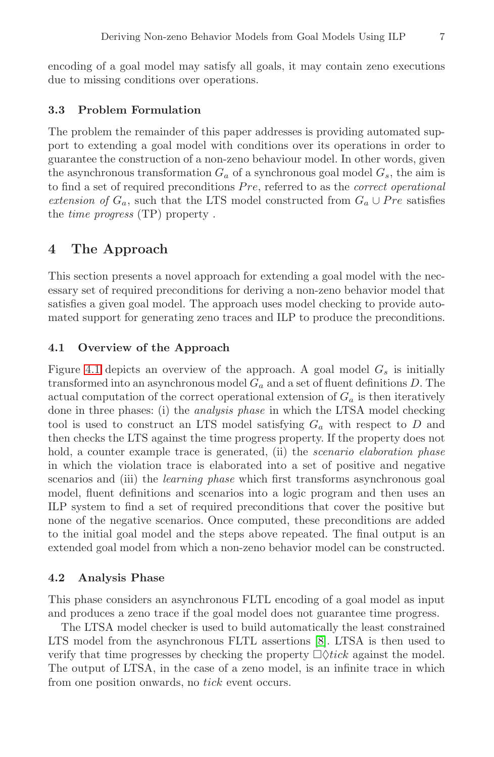encoding of a goal model may satisfy all goals, it may contain zeno executions due to missing conditions over operations.

## **3.3 Problem Formulation**

<span id="page-6-0"></span>The problem the remainder of this paper addresses is providing automated support to extending a goal model with conditions over its operations in order to guarantee the construction of a non-zeno behaviour model. In other words, given the asynchronous transformation  $G_a$  of a synchronous goal model  $G_s$ , the aim is to find a set of required preconditions Pre, referred to as the correct operational extension of  $G_a$ , such that the LTS model constructed from  $G_a \cup Pre$  satisfies the time progress (TP) property .

# **4 The Approach**

This section presents a novel approach for extending a goal model with the necessary set of required preconditions for deriving a non-zeno behavior model that satisfies a given goal model. The approach uses model checking to provide automated support for generating zeno traces and ILP to produce the preconditions.

#### **4.1 Overview of the Approach**

Figure 4.1 depicts an overview of the approach. A goal model  $G_s$  is initially transformed into an asynchronous model  $G_a$  and a set of fluent definitions D. The actual computation of the correct operational extension of  $G_a$  is then iteratively done in three phases: (i) the analysis phase in which the LTSA model checking tool is used to construct an LTS model satisfying  $G_a$  with respect to D and then checks the LTS against the time progress property. If the property does not hold, a counter example trace is generated, (ii) the *scenario elaboration phase* in which the violation trace is elaborated into a set of positive and negative scenarios and (iii) the learning phase which first transforms asynchronous goal model, fluent definitions and scenarios into a logic program and then uses an ILP system to find a set of required preconditions that cover the positive but none of the negative scenarios. Once computed, these preconditions are added to the initial goal model and the [ste](#page-14-5)ps above repeated. The final output is an extended goal model from which a non-zeno behavior model can be constructed.

## **4.2 Analysis Phase**

This phase considers an asynchronous FLTL encoding of a goal model as input and produces a zeno trace if the goal model does not guarantee time progress.

The LTSA model checker is used to build automatically the least constrained LTS model from the asynchronous FLTL assertions [8]. LTSA is then used to verify that time progresses by checking the property  $\Box \Diamond tick$  against the model. The output of LTSA, in the case of a zeno model, is an infinite trace in which from one position onwards, no tick event occurs.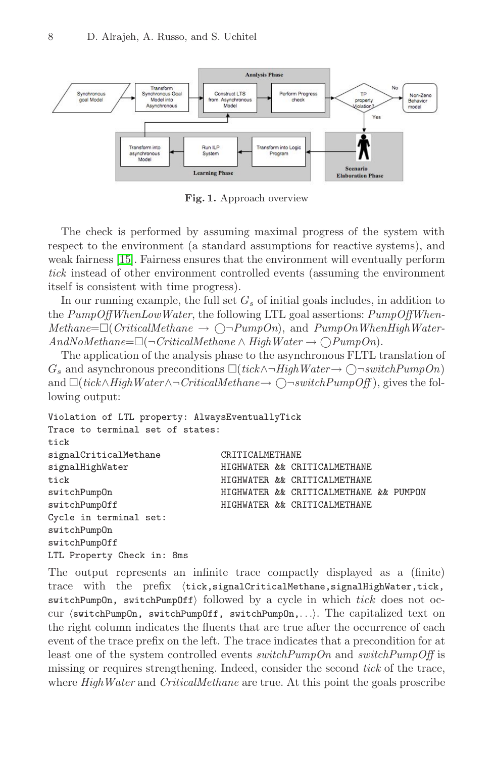

**Fig. 1.** Approach overview

The check is performed by assuming maximal progress of the system with respect to the environment (a standard assumptions for reactive systems), and weak fairness [15]. Fairness ensures that the environment will eventually perform tick instead of other environment controlled events (assuming the environment itself is consistent with time progress).

In our running example, the full set  $G_s$  of initial goals includes, in addition to the  $PumpOffWhen Low Water$ , the following LTL goal assertions:  $PumpOffWhen MethodMethodMethode \rightarrow \bigcirc \neg PumpOn,$  and  $PumpOnWhenHigh Water AndNo Methane = \Box(\neg CriticalMethodAnen \land HighWater \rightarrow \bigcirc PumpOn).$ 

The application of the analysis phase to the asynchronous FLTL translation of  $G_s$  and asynchronous preconditions  $\Box (tick \land \neg High Water \rightarrow \bigcirc \neg switchPumpOn)$ and  $\Box (tick \land High Water \land \neg CriticalMethod \rightarrow \bigcirc \neg switchPumpOff)$ , gives the following output:

```
Violation of LTL property: AlwaysEventuallyTick
Trace to terminal set of states:
tick
signalCriticalMethane CRITICALMETHANE
signalHighWater HIGHWATER && CRITICALMETHANE
tick HIGHWATER && CRITICALMETHANE
switchPumpOn HIGHWATER && CRITICALMETHANE && PUMPON
switchPumpOff HIGHWATER && CRITICALMETHANE
Cycle in terminal set:
switchPumpOn
switchPumpOff
LTL Property Check in: 8ms
```
The output represents an infinite trace compactly displayed as a (finite) trace with the prefix  $\langle$ tick,signalCriticalMethane,signalHighWater,tick, switchPumpOn, switchPumpOff) followed by a cycle in which tick does not occur (switchPumpOn, switchPumpOff, switchPumpOn,...). The capitalized text on the right column indicates the fluents that are true after the occurrence of each event of the trace prefix on the left. The trace indicates that a precondition for at least one of the system controlled events  $switchPumpOn$  and  $switchPumpOff$  is missing or requires strengthening. Indeed, consider the second tick of the trace, where High Water and CriticalMethane are true. At this point the goals proscribe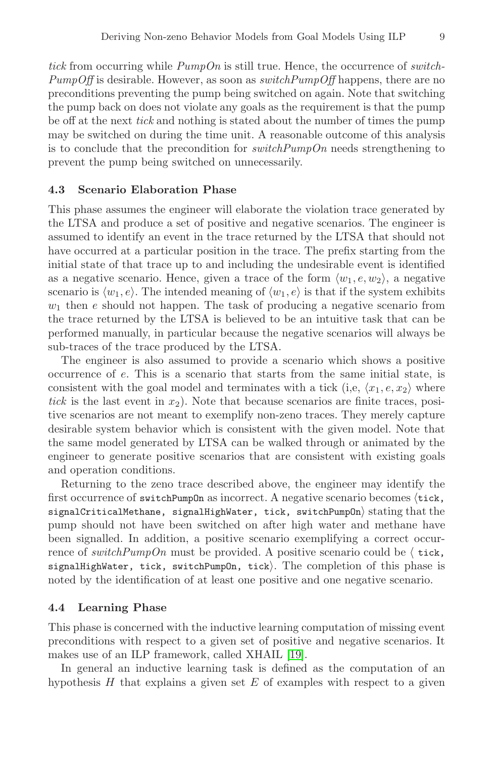<span id="page-8-0"></span>tick from occurring while  $PumpOn$  is still true. Hence, the occurrence of switch- $PumpOff$  is desirable. However, as soon as  $switchPumpOff$  happens, there are no preconditions preventing the pump being switched on again. Note that switching the pump back on does not violate any goals as the requirement is that the pump be off at the next tick and nothing is stated about the number of times the pump may be switched on during the time unit. A reasonable outcome of this analysis is to conclude that the precondition for  $switchPumpOn$  needs strengthening to prevent the pump being switched on unnecessarily.

## **4.3 Scenario Elaboration Phase**

This phase assumes the engineer will elaborate the violation trace generated by the LTSA and produce a set of positive and negative scenarios. The engineer is assumed to identify an event in the trace returned by the LTSA that should not have occurred at a particular position in the trace. The prefix starting from the initial state of that trace up to and including the undesirable event is identified as a negative scenario. Hence, given a trace of the form  $\langle w_1, e, w_2 \rangle$ , a negative scenario is  $\langle w_1, e \rangle$ . The intended meaning of  $\langle w_1, e \rangle$  is that if the system exhibits  $w_1$  then e should not happen. The task of producing a negative scenario from the trace returned by the LTSA is believed to be an intuitive task that can be performed manually, in particular because the negative scenarios will always be sub-traces of the trace produced by the LTSA.

The engineer is also assumed to provide a scenario which shows a positive occurrence of e. This is a scenario that starts from the same initial state, is consistent with the goal model and terminates with a tick (i,e,  $\langle x_1, e, x_2 \rangle$ ) where tick is the last event in  $x_2$ ). Note that because scenarios are finite traces, positive scenarios are not meant to exemplify non-zeno traces. They merely capture desirable system behavior which is consistent with the given model. Note that the same model generated by LTSA can be walked through or animated by the engineer to generate positive scenarios that are consistent with existing goals and operation conditions.

Returning to the zeno trace described above, the engineer may identify the first occurrence of  $\texttt{switchPumpOn}\xspace$  as incorrect. A negative scenario becomes  $\langle \texttt{tick},$ signalCriticalMethane, signalHighWater, tick, switchPumpOn $\rangle$  stating that the pump should not have been switched on after high water and methane have been signalled. In addition, a positive scenario exemplifying a correct occurrence of swi[t](#page-14-11)chPumpOn must [be](#page-14-11) provided. A positive scenario could be  $\langle$  tick, signalHighWater, tick, switchPumpOn, tick). The completion of this phase is noted by the identification of at least one positive and one negative scenario.

#### **4.4 Learning Phase**

This phase is concerned with the inductive learning computation of missing event preconditions with respect to a given set of positive and negative scenarios. It makes use of an ILP framework, called XHAIL [19].

In general an inductive learning task is defined as the computation of an hypothesis  $H$  that explains a given set  $E$  of examples with respect to a given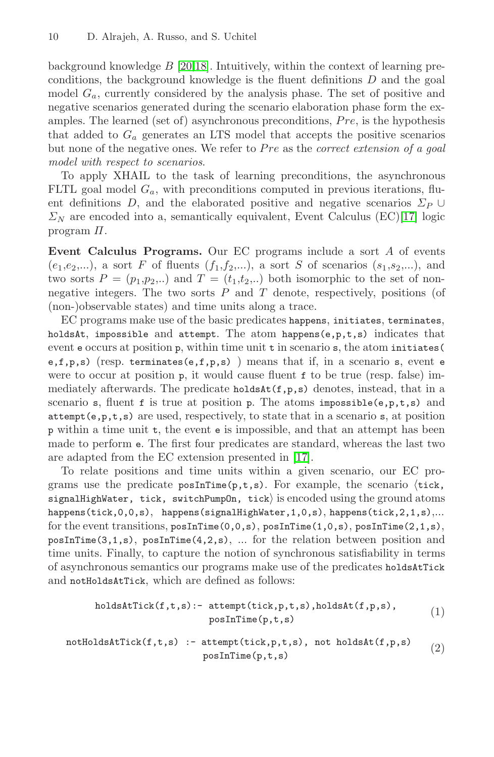background knowledge  $B$  [20,18]. Intuitively, within the context of learning preconditions, the background knowledge is the fluent definitions D and the goal model  $G_a$ , currently considered by the analysis phase. The set of positive and negative scenarios generated during the scenario ela[bor](#page-14-12)ation phase form the examples. The learned (set of) asynchronous preconditions, Pre, is the hypothesis that added to  $G_a$  generates an LTS model that accepts the positive scenarios but none of the negative ones. We refer to Pre as the correct extension of a goal model with respect to scenarios.

To apply XHAIL to the task of learning preconditions, the asynchronous FLTL goal model  $G_a$ , with preconditions computed in previous iterations, fluent definitions D, and the elaborated positive and negative scenarios  $\Sigma_P \cup$  $\Sigma_N$  are encoded into a, semantically equivalent, Event Calculus (EC)[17] logic program  $\Pi$ .

**Event Calculus Programs.** Our EC programs include a sort A of events  $(e_1,e_2,...),$  a sort F of fluents  $(f_1,f_2,...),$  a sort S of scenarios  $(s_1,s_2,...),$  and two sorts  $P = (p_1, p_2, ...)$  and  $T = (t_1, t_2, ...)$  both isomorphic to the set of nonnegative integers. The two sorts  $P$  and  $T$  denote, respectively, positions (of (non-)observable states) and time units along a trace.

EC programs make use of the basic predicates happens, initiates, terminates, holdsAt, impossible and attempt. The atom happens $(e, p, t, s)$  indicates that event e occurs at position p, wi[thin](#page-14-12) time unit t in scenario s, the atom initiates( e,f,p,s) (resp. terminates(e,f,p,s)) means that if, in a scenario s, event e were to occur at position p, it would cause fluent f to be true (resp. false) immediately afterwards. The predicate holdsAt(f,p,s) denotes, instead, that in a scenario s, fluent  $f$  is true at position  $p$ . The atoms impossible(e, $p, t, s$ ) and attempt(e,p,t,s) are used, respectively, to state that in a scenario s, at position p within a time unit t, the event e is impossible, and that an attempt has been made to perform e. The first four predicates are standard, whereas the last two are adapted from the EC extension presented in [17].

To relate positions and time units within a given scenario, our EC programs use the predicate  $posInTime(p, t, s)$ . For example, the scenario (tick, signalHighWater, tick, switchPumpOn, tick is encoded using the ground atoms happens(tick,0,0,s), happens(signalHighWater,1,0,s), happens(tick,2,1,s),... for the event transitions,  $posInTime(0,0,s)$ ,  $posInTime(1,0,s)$ ,  $posInTime(2,1,s)$ , posInTime(3,1,s), posInTime(4,2,s), ... for the relation between position and time units. Finally, to capture the notion of synchronous satisfiability in terms of asynchronous semantics our programs make use of the predicates holdsAtTick and notHoldsAtTick, which are defined as follows:

$$
\texttt{holdsAtTick}(f, t, s):= \texttt{attempt}(tick, p, t, s), \texttt{holdsAt}(f, p, s),
$$
\n
$$
\texttt{posInTime}(p, t, s)
$$
\n
$$
(1)
$$

$$
\begin{array}{lcl} \texttt{notHoldsAtTick}(f,t,s) & \texttt{::} & \texttt{attempt}(tick,p,t,s), \text{ not holdsAt}(f,p,s) \\ & & \texttt{posInTime}(p,t,s) \end{array} \tag{2}
$$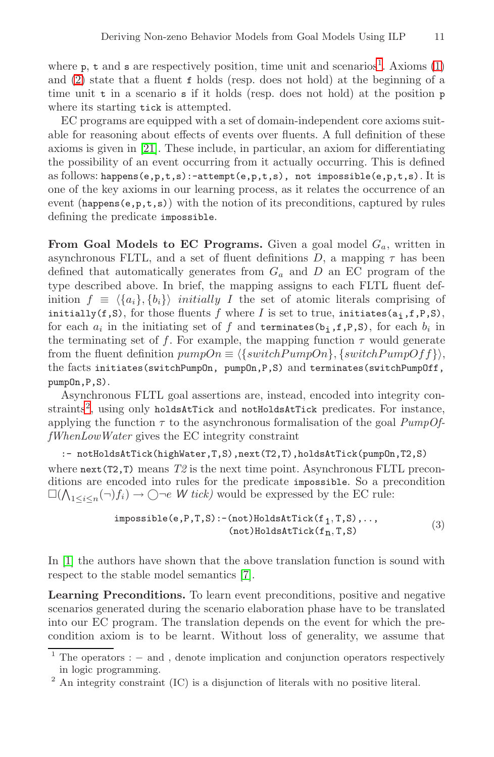where  $p$ ,  $t$  and  $s$  are respectively position, time unit and scenarios<sup>1</sup>. Axioms (1) and (2) state that a fluent f holds (resp. does not hold) at the beginning of a time unit  $t$  in a scenario  $s$  if it holds (resp. does not hold) at the position  $p$ where its starting tick is attempted.

EC programs are equipped with a set of domain-independent core axioms suitable for reasoning about effects of events over fluents. A full definition of these axioms is given in [21]. These include, in particular, an axiom for differentiating the possibility of an event occurring from it actually occurring. This is defined as follows: happens(e,p,t,s):-attempt(e,p,t,s), not impossible(e,p,t,s). It is one of the key axioms in our learning process, as it relates the occurrence of an event  $(hapens(e,p,t,s))$  with the notion of its preconditions, captured by rules defining the predicate impossible.

**From Goal Models to EC Programs.** Given a goal model  $G_a$ , written in asynchronous FLTL, and a set of fluent definitions  $D$ , a mapping  $\tau$  has been defined that automatically generates from  $G_a$  and D an EC program of the type described above. In brief, the mapping assigns to each FLTL fluent definition  $f \equiv \langle \{a_i\}, \{b_i\} \rangle$  initially I the set of atomic literals comprising of initially(f,S), for those fluents f where I is set to true, initiates( $a_i$ ,f,P,S), for each  $a_i$  in the initiating set of f and terminates(b<sub>i</sub>,f,P,S), for each  $b_i$  in the terminating set of f. For example, the mapping function  $\tau$  would generate from the fluent definition  $pumpOn \equiv \langle \{switchPumpOn\}, \{switchPumpOff\} \rangle$ , the facts initiates(switchPumpOn, pumpOn,P,S) and terminates(switchPumpOff, pumpOn,P,S).

Asynchronous FLTL goal assertions are, instead, encoded into integrity constraints<sup>2</sup>, using only holdsAtTick and notHoldsAtTick predicates. For instance, applying the function  $\tau$  to the asynchronous formalisation of the goal  $PumpOf$ fWhenLowWater gives the EC integrity constraint

:- notHoldsAtTick(highWater,T,S),next(T2,T),holdsAtTick(pumpOn,T2,S) where  $\texttt{next(T2,T)}$  m[ea](#page-14-13)ns  $T2$  is the next time point. Asynchronous FLTL preconditions are encoded into rules for the predicate impossible. So a precondition  $\square(\bigwedge_{1\leq i\leq n}(\neg) f_i)\rightarrow \bigcirc \neg e\ \text{W}$  tick) would be expressed by the EC rule:

$$
\begin{aligned}\n&\text{impossible}(e, P, T, S) : -(not) \text{HoldsAtTick}(f_1, T, S), \dots, \\
&\quad (\text{not}) \text{HoldsAtTick}(f_n, T, S)\n\end{aligned}\n\tag{3}
$$

In [1] the authors have shown that the above translation function is sound with respect to the stable model semantics [7].

**Learning Preconditions.** To learn event preconditions, positive and negative scenarios generated during the scenario elaboration phase have to be translated into our EC program. The translation depends on the event for which the precondition axiom is to be learnt. Without loss of generality, we assume that

<sup>1</sup> The operators : − and , denote implication and conjunction operators respectively in logic programming.

<sup>&</sup>lt;sup>2</sup> An integrity constraint (IC) is a disjunction of literals with no positive literal.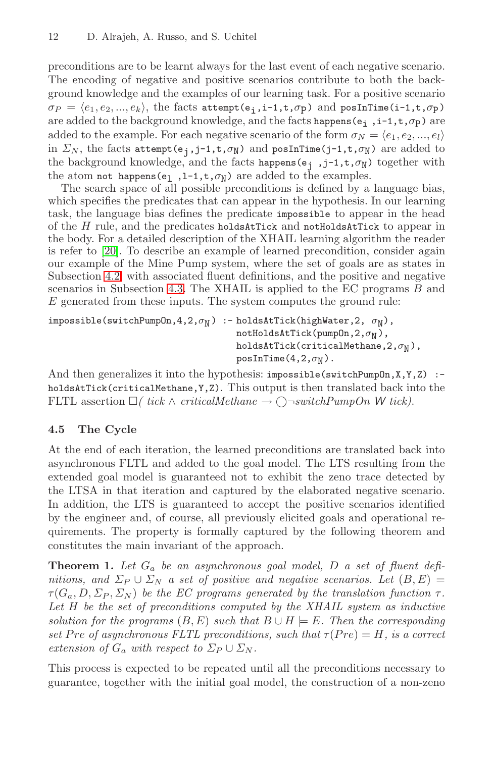preconditions are to be learnt always for the last event of each negative scenario. The encoding of negative and positive scenarios contribute to both the background knowledge and the examples of our learning task. For a positive scenario  $\sigma_P = \langle e_1, e_2, ..., e_k \rangle$ , the facts attempt( $e_i$ , i-1,  $t, \sigma_P$ ) and posInTime(i-1,  $t, \sigma_P$ ) are added to the background knowledge, and the facts happens( $e_i$ , i-1,t, $\sigma_p$ ) are added to the example. For each negative scenario of the form  $\sigma_N = \langle e_1, e_2, ..., e_l \rangle$ in  $\Sigma_N$ , the facts attempt(e<sub>j</sub>,j-1,t, $\sigma_N$ ) and posInTime(j-1,t, $\sigma_N$ ) are added to the background knowledge, and the facts happens( $e_i$ , j-1,t, $\sigma_N$ ) together with the atom not happens(e<sub>l</sub>, 1-1,t, $\sigma_N$ ) are added to the examples.

T[he](#page-8-0) [s](#page-8-0)earch space of all possible preconditions is defined by a language bias, which specifies the predicates that can appear in the hypothesis. In our learning task, the language bias defines the predicate impossible to appear in the head of the H rule, and the predicates holdsAtTick and notHoldsAtTick to appear in the body. For a detailed description of the XHAIL learning algorithm the reader is refer to [20]. To describe an example of learned precondition, consider again our example of the Mine Pump system, where the set of goals are as states in Subsection 4.2, with associated fluent definitions, and the positive and negative scenarios in Subsection 4.3. The XHAIL is applied to the EC programs B and E generated from these inputs. The system computes the ground rule:

```
impossible(switchPumpOn,4,2,\sigma_{\text{N}}) :-holdsAtTick(highWater,2, \sigma_{\text{N}}),
                                               notHoldsAtTick(pump0n,2,\sigma_N),holdsAtTick(criticalMethane, 2, \sigma_N),
                                               posInTime(4,2,\sigma_{N}).
```
And then generalizes it into the hypothesis: impossible(switchPumpOn,  $X, Y, Z$ ) :holdsAtTick(criticalMethane,Y,Z). This output is then translated back into the FLTL assertion  $\Box$  (*tick*  $\land$  *criticalMethane*  $\rightarrow \bigcirc$   $\neg$ *switchPumpOn W tick*).

## **4.5 The Cycle**

At the end of each iteration, the learned preconditions are translated back into asynchronous FLTL and added to the goal model. The LTS resulting from the extended goal model is guaranteed not to exhibit the zeno trace detected by the LTSA in that iteration and captured by the elaborated negative scenario. In addition, the LTS is guaranteed to accept the positive scenarios identified by the engineer and, of course, all previously elicited goals and operational requirements. The property is formally captured by the following theorem and constitutes the main invariant of the approach.

**Theorem 1.** Let  $G_a$  be an asynchronous goal model, D a set of fluent definitions, and  $\Sigma_P \cup \Sigma_N$  a set of positive and negative scenarios. Let  $(B, E) =$  $\tau(G_a, D, \Sigma_P, \Sigma_N)$  be the EC programs generated by the translation function  $\tau$ . Let H be the set of preconditions computed by the XHAIL system as inductive solution for the programs  $(B, E)$  such that  $B \cup H \models E$ . Then the corresponding set Pre of asynchronous FLTL preconditions, such that  $\tau(Pre) = H$ , is a correct extension of  $G_a$  with respect to  $\Sigma_P \cup \Sigma_N$ .

This process is expected to be repeated until all the preconditions necessary to guarantee, together with the initial goal model, the construction of a non-zeno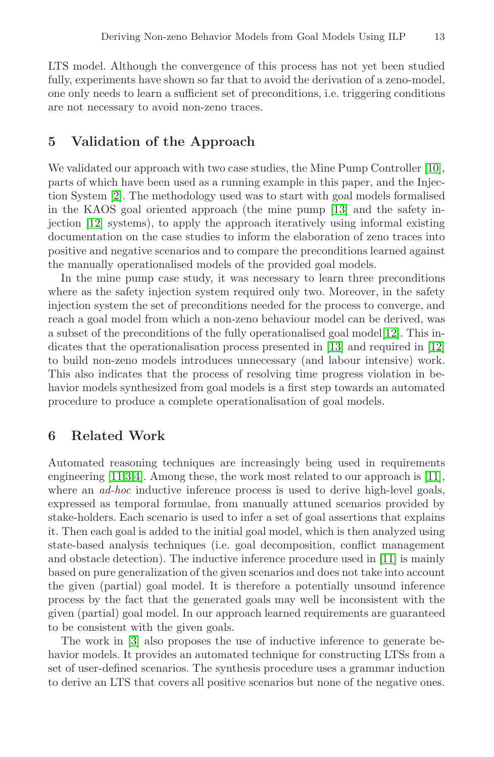LTS model. Although the convergence of this process h[as](#page-14-8) [n](#page-14-8)ot yet been studied fully, experiments have shown so far that to avoid the derivation of a zeno-model, one only needs to learn a sufficient set of preconditions, i.e. triggering conditions are not necessary to avoid non-zeno t[race](#page-14-7)s.

# **5 Validation of the Approach**

We validated our approach with two case studies, the Mine Pump Controller [10], parts of which have been used as a running example in this paper, and the Injection System [2]. The methodology used was to start with goal models formalised in the KAOS goal oriented approach (the mine pump [13] and the safety injection [12] systems), to apply the approach ite[rati](#page-14-4)vely using informal existing documentation on the case studies t[o inf](#page-14-7)orm the elabora[tion](#page-14-4) of zeno traces into positive and negative scenarios and to compare the preconditions learned against the manually operationalised models of the provided goal models.

In the mine pump case study, it was necessary to learn three preconditions where as the safety injection system required only two. Moreover, in the safety injection system the set of preconditions needed for the process to converge, and reach a goal model from which a non-zeno behaviour model can be derived, was a subset of the preconditions of the fully operationalised goal model[12]. This indicates that the operationalisation process presented in [13] and required in [12] to build non-zeno models introduces unnecessary (and labour intensive) work. This also indicates that the process of resolving time p[rogr](#page-14-14)ess violation in behavior models synthesized from goal models is a first step towards an automated procedure to produce a complete operationalisation of goal models.

# **6 Related Work**

Automated reasoning techniques are increasin[gly](#page-14-14) being used in requirements engineering [11,3,4]. Among these, the work most related to our approach is [11], where an *ad-hoc* inductive inference process is used to derive high-level goals, expressed as temporal formulae, from manually attuned scenarios provided by stake-holders. Each scenario is used to infer a set of goal assertions that explains it. Then each goal is added to the initial goal model, which is then analyzed using state-based analysis techniques (i.e. goal decomposition, conflict management and obstacle detection). The inductive inference procedure used in [11] is mainly based on pure generalization of the given scenarios and does not take into account the given (partial) goal model. It is therefore a potentially unsound inference process by the fact that the generated goals may well be inconsistent with the given (partial) goal model. In our approach learned requirements are guaranteed to be consistent with the given goals.

The work in [3] also proposes the use of inductive inference to generate behavior models. It provides an automated technique for constructing LTSs from a set of user-defined scenarios. The synthesis procedure uses a grammar induction to derive an LTS that covers all positive scenarios but none of the negative ones.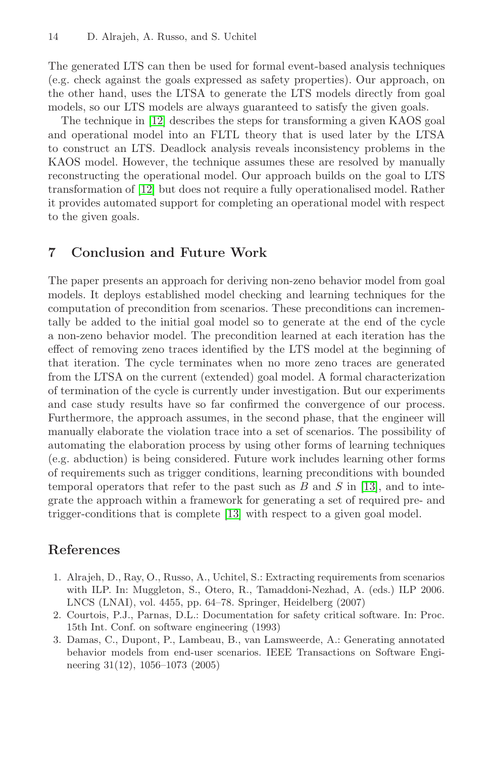The generated LTS can then be used for formal event-based analysis techniques [\(e.](#page-14-4)g. check against the goals expressed as safety properties). Our approach, on the other hand, uses the LTSA to generate the LTS models directly from goal models, so our LTS models are always guaranteed to satisfy the given goals.

The technique in [12] describes the steps for transforming a given KAOS goal and operational model into an FLTL theory that is used later by the LTSA to construct an LTS. Deadlock analysis reveals inconsistency problems in the KAOS model. However, the technique assumes these are resolved by manually reconstructing the operational model. Our approach builds on the goal to LTS transformation of [12] but does not require a fully operationalised model. Rather it provides automated support for completing an operational model with respect to the given goals.

# **7 Conclusion and Future Work**

The paper presents an approach for deriving non-zeno behavior model from goal models. It deploys established model checking and learning techniques for the computation of precondition from scenarios. These preconditions can incrementally be added to the initial goal model so to generate at the end of the cycle a non-zeno behavior model. The precondition learned at each iteration has the effect of removing zeno traces identified by the LTS model at the beginning of that iteration. The cycle terminates when no more zeno traces are generated from the LTSA on the current (extended) g[oal m](#page-14-7)odel. A formal characterization of termination of the cycle is currently under investigation. But our experiments and case study [resu](#page-14-7)lts have so far confirmed the convergence of our process. Furthermore, the approach assumes, in the second phase, that the engineer will manually elaborate the violation trace into a set of scenarios. The possibility of automating the elaboration process by using other forms of learning techniques (e.g. abduction) is being considered. Future work includes learning other forms of requirements such as trigger conditions, learning preconditions with bounded temporal operators that refer to the past such as  $B$  and  $S$  in [13], and to integrate the approach within a framework for generating a set of required pre- and trigger-conditions that is complete [13] with respect to a given goal model.

# **References**

- 1. Alrajeh, D., Ray, O., Russo, A., Uchitel, S.: Extracting requirements from scenarios with ILP. In: Muggleton, S., Otero, R., Tamaddoni-Nezhad, A. (eds.) ILP 2006. LNCS (LNAI), vol. 4455, pp. 64–78. Springer, Heidelberg (2007)
- 2. Courtois, P.J., Parnas, D.L.: Documentation for safety critical software. In: Proc. 15th Int. Conf. on software engineering (1993)
- 3. Damas, C., Dupont, P., Lambeau, B., van Lamsweerde, A.: Generating annotated behavior models from end-user scenarios. IEEE Transactions on Software Engineering 31(12), 1056–1073 (2005)